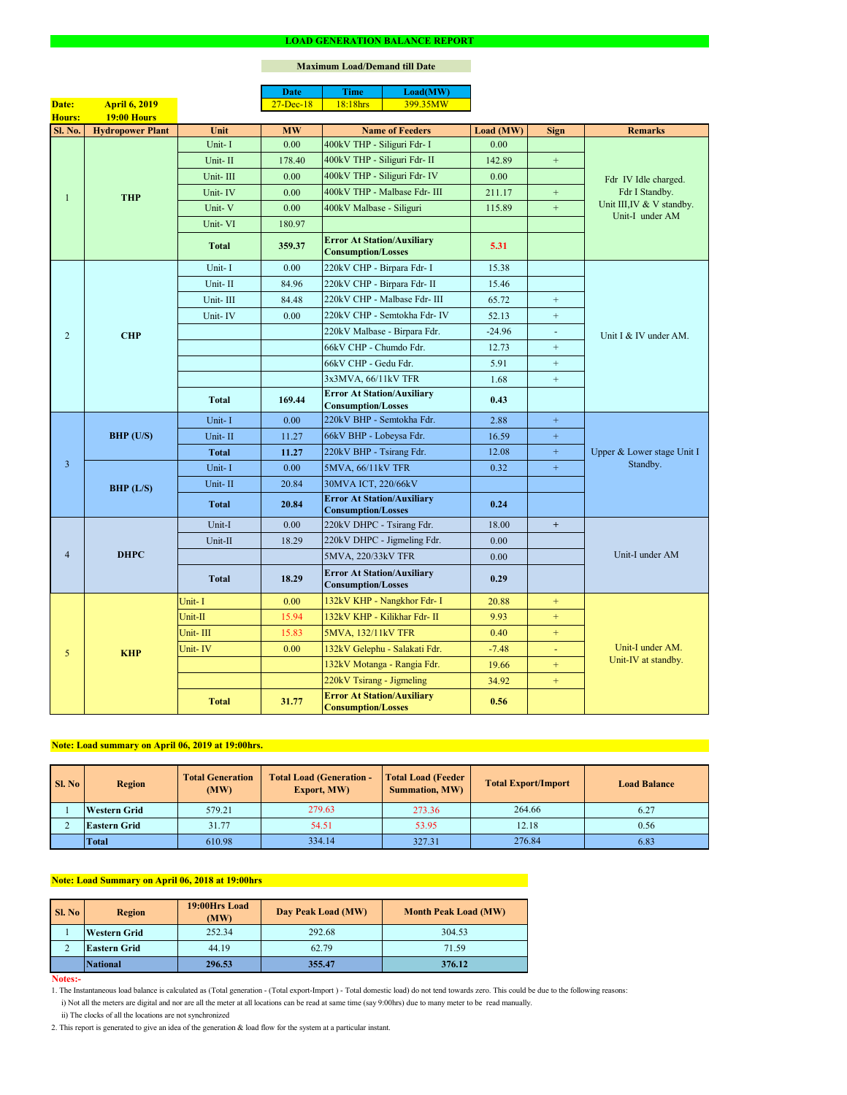#### **Notes:-**

2. This report is generated to give an idea of the generation & load flow for the system at a particular instant.

### **Maximum Load/Demand till Date**

ii) The clocks of all the locations are not synchronized

1. The Instantaneous load balance is calculated as (Total generation - (Total export-Import ) - Total domestic load) do not tend towards zero. This could be due to the following reasons:

| Sl. No | <b>Total Generation</b><br><b>Region</b><br>(MW) |        | <b>Total Load (Generation -</b><br><b>Export, MW)</b> | <b>Total Load (Feeder</b><br><b>Summation, MW)</b> | <b>Total Export/Import</b> | <b>Load Balance</b> |
|--------|--------------------------------------------------|--------|-------------------------------------------------------|----------------------------------------------------|----------------------------|---------------------|
|        | <b>Western Grid</b>                              | 579.21 | 279.63                                                | 273.36                                             | 264.66                     | 6.27                |
|        | <b>Eastern Grid</b>                              | 31.77  | 54.51                                                 | 53.95                                              | 12.18                      | 0.56                |
|        | <b>Total</b>                                     | 610.98 | 334.14                                                | 327.31                                             | 276.84                     | 6.83                |

|                |                         |              | <b>Date</b>       | <b>Time</b>                                                    | Load(MW)                      |           |                  |                                              |  |
|----------------|-------------------------|--------------|-------------------|----------------------------------------------------------------|-------------------------------|-----------|------------------|----------------------------------------------|--|
| Date:          | <b>April 6, 2019</b>    |              | $27 - Dec-18$     | 18:18hrs                                                       | 399.35MW                      |           |                  |                                              |  |
| Hours:         | <b>19:00 Hours</b>      |              |                   |                                                                |                               |           |                  |                                              |  |
| Sl. No.        | <b>Hydropower Plant</b> | Unit         | <b>MW</b>         |                                                                | <b>Name of Feeders</b>        | Load (MW) | <b>Sign</b>      | <b>Remarks</b>                               |  |
|                |                         | Unit-I       | 0.00              | 400kV THP - Siliguri Fdr- I                                    |                               | 0.00      |                  |                                              |  |
|                |                         | Unit-II      | 178.40            | 400kV THP - Siliguri Fdr- II                                   |                               | 142.89    | $+$              |                                              |  |
|                |                         | Unit-III     | 0.00              |                                                                | 400kV THP - Siliguri Fdr- IV  | 0.00      |                  | Fdr IV Idle charged.                         |  |
| $\mathbf{1}$   | <b>THP</b>              | Unit-IV      | 0.00              |                                                                | 400kV THP - Malbase Fdr- III  | 211.17    | $+$              | Fdr I Standby.                               |  |
|                |                         | Unit-V       | 0.00              |                                                                | 400kV Malbase - Siliguri      |           | $+$              | Unit III, IV & V standby.<br>Unit-I under AM |  |
|                |                         | Unit-VI      | 180.97            |                                                                |                               |           |                  |                                              |  |
|                |                         | <b>Total</b> | 359.37            | <b>Error At Station/Auxiliary</b><br><b>Consumption/Losses</b> |                               | 5.31      |                  |                                              |  |
|                |                         | Unit-I       | 0.00              | 220kV CHP - Birpara Fdr- I                                     |                               | 15.38     |                  |                                              |  |
|                |                         | Unit-II      | 84.96             | 220kV CHP - Birpara Fdr- II                                    |                               | 15.46     |                  |                                              |  |
|                |                         | Unit-III     | 84.48             |                                                                | 220kV CHP - Malbase Fdr- III  | 65.72     | $+$              |                                              |  |
|                |                         | Unit-IV      | 0.00              |                                                                | 220kV CHP - Semtokha Fdr- IV  | 52.13     | $\boldsymbol{+}$ |                                              |  |
| 2              | <b>CHP</b>              |              |                   |                                                                | 220kV Malbase - Birpara Fdr.  | $-24.96$  | $\blacksquare$   | Unit I & IV under AM.                        |  |
|                |                         |              |                   | 66kV CHP - Chumdo Fdr.                                         |                               | 12.73     | $+$              |                                              |  |
|                |                         |              |                   | 66kV CHP - Gedu Fdr.                                           |                               | 5.91      | $+$              |                                              |  |
|                |                         |              |                   | 3x3MVA, 66/11kV TFR                                            |                               | 1.68      | $\boldsymbol{+}$ |                                              |  |
|                |                         | <b>Total</b> | 169.44            | <b>Error At Station/Auxiliary</b><br><b>Consumption/Losses</b> |                               | 0.43      |                  |                                              |  |
|                | <b>BHP</b> (U/S)        | Unit-I       | 0.00              | 220kV BHP - Semtokha Fdr.                                      |                               | 2.88      | $\pm$            | Upper & Lower stage Unit I<br>Standby.       |  |
|                |                         | Unit-II      | 11.27             | 66kV BHP - Lobeysa Fdr.                                        |                               | 16.59     | $\pm$            |                                              |  |
|                |                         | <b>Total</b> | 11.27             | 220kV BHP - Tsirang Fdr.                                       |                               | 12.08     | $+$              |                                              |  |
| 3              |                         | Unit-I       | 0.00              | 5MVA, 66/11kV TFR                                              |                               | 0.32      | $\pm$            |                                              |  |
|                |                         | Unit-II      | 20.84             | 30MVA ICT, 220/66kV                                            |                               |           |                  |                                              |  |
|                | BHP (L/S)               |              |                   | <b>Error At Station/Auxiliary</b>                              |                               |           |                  |                                              |  |
|                |                         | <b>Total</b> | 20.84             | <b>Consumption/Losses</b>                                      |                               | 0.24      |                  |                                              |  |
|                | <b>DHPC</b>             | Unit-I       | 0.00              | 220kV DHPC - Tsirang Fdr.                                      |                               | 18.00     | $+$              |                                              |  |
|                |                         | Unit-II      | 18.29             |                                                                | 220kV DHPC - Jigmeling Fdr.   | 0.00      |                  |                                              |  |
| $\overline{4}$ |                         |              |                   | 5MVA, 220/33kV TFR                                             |                               | 0.00      |                  | Unit-I under AM                              |  |
|                |                         | <b>Total</b> | 18.29             | <b>Error At Station/Auxiliary</b><br><b>Consumption/Losses</b> |                               | 0.29      |                  |                                              |  |
|                |                         | Unit-I       | 0.00              |                                                                | 132kV KHP - Nangkhor Fdr- I   | 20.88     | $+$              | Unit-I under AM.<br>Unit-IV at standby.      |  |
|                |                         | Unit-II      | 15.94             |                                                                | 132kV KHP - Kilikhar Fdr- II  | 9.93      | $+$              |                                              |  |
|                |                         | Unit-III     | 15.83             | 5MVA, 132/11kV TFR                                             |                               | 0.40      | $+$              |                                              |  |
| 5              | <b>KHP</b>              | Unit-IV      | 0.00 <sub>1</sub> |                                                                | 132kV Gelephu - Salakati Fdr. | $-7.48$   | $\equiv$         |                                              |  |
|                |                         |              |                   |                                                                | 132kV Motanga - Rangia Fdr.   | 19.66     | $+$              |                                              |  |
|                |                         |              |                   | 220kV Tsirang - Jigmeling                                      |                               | 34.92     | $+$              |                                              |  |
|                |                         | <b>Total</b> | 31.77             | <b>Error At Station/Auxiliary</b><br><b>Consumption/Losses</b> |                               | 0.56      |                  |                                              |  |

| Sl. No | <b>Region</b>       | 19:00Hrs Load<br>(MW) | Day Peak Load (MW) | <b>Month Peak Load (MW)</b> |
|--------|---------------------|-----------------------|--------------------|-----------------------------|
|        | <b>Western Grid</b> | 252.34                | 292.68             | 304.53                      |
| ∠      | <b>Eastern Grid</b> | 44.19                 | 62.79              | 71.59                       |
|        | National            | 296.53                | 355.47             | 376.12                      |

# **Note: Load summary on April 06, 2019 at 19:00hrs.**

i) Not all the meters are digital and nor are all the meter at all locations can be read at same time (say 9:00hrs) due to many meter to be read manually.

# **Note: Load Summary on April 06, 2018 at 19:00hrs**

### **LOAD GENERATION BALANCE REPORT**